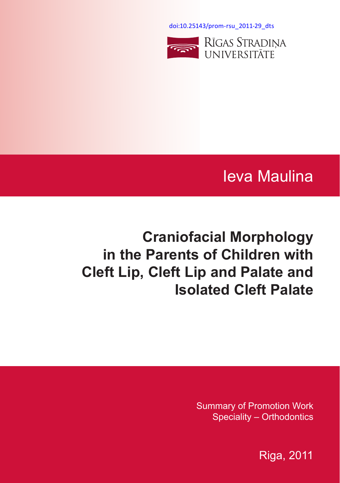[doi:10.25143/prom-rsu\\_2011-29\\_dts](https://doi.org/10.25143/prom-rsu_2011-29_dts)



# Ieva Maulina

# **Craniofacial Morphology in the Parents of Children with Cleft Lip, Cleft Lip and Palate and Isolated Cleft Palate**

Summary of Promotion Work Speciality – Orthodontics

Riga, 2011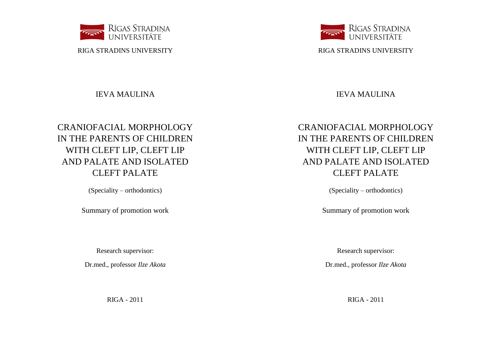

RIGA STRADINS UNIVERSITY

# IEVA MAULINA

# CRANIOFACIAL MORPHOLOGY IN THE PARENTS OF CHILDREN WITH CLEFT LIP, CLEFT LIP AND PALATE AND ISOLATED CLEFT PALATE

(Speciality – orthodontics)

Summary of promotion work

Research supervisor:

Dr.med., professor *Ilze Akota*

RIGA - 2011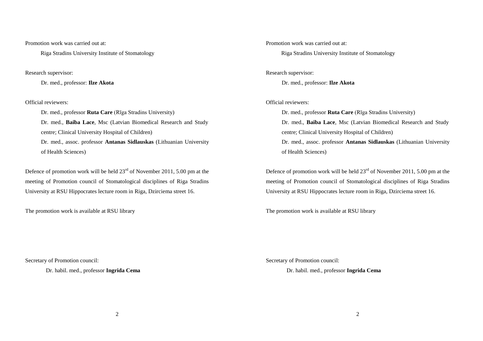Promotion work was carried out at:

Riga Stradins University Institute of Stomatology

Research supervisor:

Dr. med., professor: **Ilze Akota**

Official reviewers:

Dr. med., professor **Ruta Care** (Rīga Stradins University) Dr. med., **Baiba Lace**, Msc (Latvian Biomedical Research and Study centre; Clinical University Hospital of Children) Dr. med., assoc. professor **Antanas Sidlauskas** (Lithuanian University of Health Sciences)

Defence of promotion work will be held  $23<sup>rd</sup>$  of November 2011, 5.00 pm at the meeting of Promotion council of Stomatological disciplines of Riga Stradins University at RSU Hippocrates lecture room in Riga, Dzirciema street 16.

The promotion work is available at RSU library

Secretary of Promotion council:

Dr. habil. med., professor **Ingrida Cema**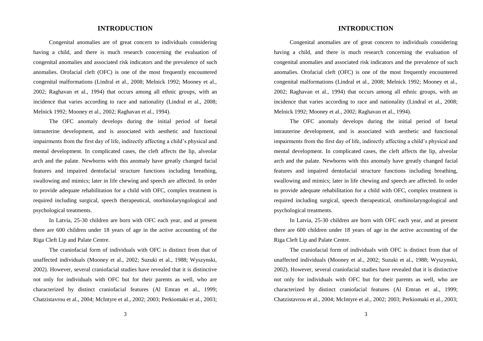### **INTRODUCTION**

Congenital anomalies are of great concern to individuals considering having a child, and there is much research concerning the evaluation of congenital anomalies and associated risk indicators and the prevalence of such anomalies. Orofacial cleft (OFC) is one of the most frequently encountered congenital malformations (Lindral et al., 2008; Melnick 1992; Mooney et al., 2002; Raghavan et al., 1994) that occurs among all ethnic groups, with an incidence that varies according to race and nationality (Lindral et al., 2008; Melnick 1992; Mooney et al., 2002; Raghavan et al., 1994).

The OFC anomaly develops during the initial period of foetal intrauterine development, and is associated with aesthetic and functional impairments from the first day of life, indirectly affecting a child's physical and mental development. In complicated cases, the cleft affects the lip, alveolar arch and the palate. Newborns with this anomaly have greatly changed facial features and impaired dentofacial structure functions including breathing, swallowing and mimics; later in life chewing and speech are affected. In order to provide adequate rehabilitation for a child with OFC, complex treatment is required including surgical, speech therapeutical, otorhinolaryngological and psychological treatments.

In Latvia, 25-30 children are born with OFC each year, and at present there are 600 children under 18 years of age in the active accounting of the Riga Cleft Lip and Palate Centre.

The craniofacial form of individuals with OFC is distinct from that of unaffected individuals (Mooney et al., 2002; Suzuki et al., 1988; Wyszynski, 2002). However, several craniofacial studies have revealed that it is distinctive not only for individuals with OFC but for their parents as well, who are characterized by distinct craniofacial features (Al Emran et al., 1999; Chatzistavrou et al., 2004; McIntyre et al., 2002; 2003; Perkiomaki et al., 2003;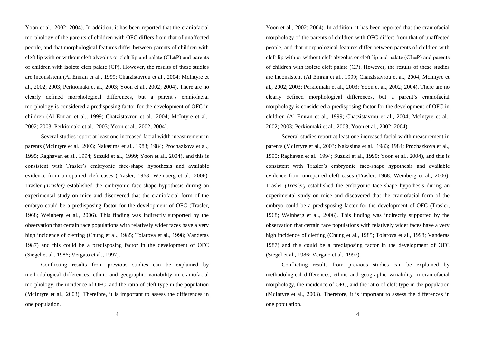Yoon et al., 2002; 2004). In addition, it has been reported that the craniofacial morphology of the parents of children with OFC differs from that of unaffected people, and that morphological features differ between parents of children with cleft lip with or without cleft alveolus or cleft lip and palate  $(CL \pm P)$  and parents of children with isolete cleft palate (CP). However, the results of these studies are inconsistent (Al Emran et al., 1999; Chatzistavrou et al., 2004; McIntyre et al., 2002; 2003; Perkiomaki et al., 2003; Yoon et al., 2002; 2004). There are no clearly defined morphological differences, but a parent's craniofacial morphology is considered a predisposing factor for the development of OFC in children (Al Emran et al., 1999; Chatzistavrou et al., 2004; McIntyre et al., 2002; 2003; Perkiomaki et al., 2003; Yoon et al., 2002; 2004).

Several studies report at least one increased facial width measurement in parents (McIntyre et al., 2003; Nakasima et al., 1983; 1984; Prochazkova et al., 1995; Raghavan et al., 1994; Suzuki et al., 1999; Yoon et al., 2004), and this is consistent with Trasler's embryonic face-shape hypothesis and available evidence from unrepaired cleft cases (Trasler, 1968; Weinberg et al., 2006). Trasler *(Trasler)* established the embryonic face-shape hypothesis during an experimental study on mice and discovered that the craniofacial form of the embryo could be a predisposing factor for the development of OFC (Trasler, 1968; Weinberg et al., 2006). This finding was indirectly supported by the observation that certain race populations with relatively wider faces have a very high incidence of clefting (Chung et al., 1985; Tolarova et al., 1998; Vanderas 1987) and this could be a predisposing factor in the development of OFC (Siegel et al., 1986; Vergato et al., 1997).

Conflicting results from previous studies can be explained by methodological differences, ethnic and geographic variability in craniofacial morphology, the incidence of OFC, and the ratio of cleft type in the population (McIntyre et al., 2003). Therefore, it is important to assess the differences in one population.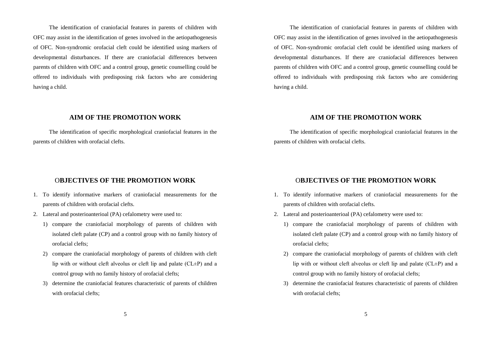The identification of craniofacial features in parents of children with OFC may assist in the identification of genes involved in the aetiopathogenesis of OFC. Non-syndromic orofacial cleft could be identified using markers of developmental disturbances. If there are craniofacial differences between parents of children with OFC and a control group, genetic counselling could be offered to individuals with predisposing risk factors who are considering having a child.

### **AIM OF THE PROMOTION WORK**

The identification of specific morphological craniofacial features in the parents of children with orofacial clefts.

#### O**BJECTIVES OF THE PROMOTION WORK**

- 1. To identify informative markers of craniofacial measurements for the parents of children with orofacial clefts.
- 2. Lateral and posterioanterioal (PA) cefalometry were used to:
	- 1) compare the craniofacial morphology of parents of children with isolated cleft palate (CP) and a control group with no family history of orofacial clefts;
	- 2) compare the craniofacial morphology of parents of children with cleft lip with or without cleft alveolus or cleft lip and palate  $(CL \pm P)$  and a control group with no family history of orofacial clefts;
	- 3) determine the craniofacial features characteristic of parents of children with orofacial clefts;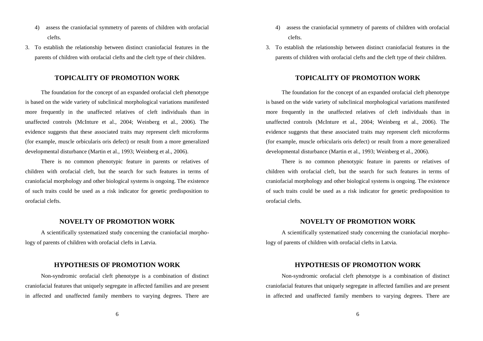- 4) assess the craniofacial symmetry of parents of children with orofacial clefts.
- 3. To establish the relationship between distinct craniofacial features in the parents of children with orofacial clefts and the cleft type of their children.

# **TOPICALITY OF PROMOTION WORK**

The foundation for the concept of an expanded orofacial cleft phenotype is based on the wide variety of subclinical morphological variations manifested more frequently in the unaffected relatives of cleft individuals than in unaffected controls (McInture et al., 2004; Weinberg et al., 2006). The evidence suggests that these associated traits may represent cleft microforms (for example, muscle orbicularis oris defect) or result from a more generalized developmental disturbance (Martin et al., 1993; Weinberg et al., 2006).

There is no common phenotypic feature in parents or relatives of children with orofacial cleft, but the search for such features in terms of craniofacial morphology and other biological systems is ongoing. The existence of such traits could be used as a risk indicator for genetic predisposition to orofacial clefts.

## **NOVELTY OF PROMOTION WORK**

A scientifically systematized study concerning the craniofacial morphology of parents of children with orofacial clefts in Latvia.

#### **HYPOTHESIS OF PROMOTION WORK**

Non-syndromic orofacial cleft phenotype is a combination of distinct craniofacial features that uniquely segregate in affected families and are present in affected and unaffected family members to varying degrees. There are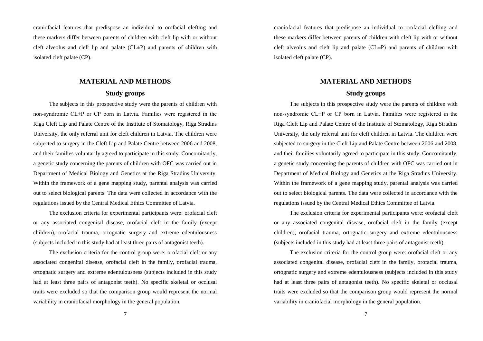craniofacial features that predispose an individual to orofacial clefting and these markers differ between parents of children with cleft lip with or without cleft alveolus and cleft lip and palate (CL±P) and parents of children with isolated cleft palate (CP).

# **MATERIAL AND METHODS Study groups**

The subjects in this prospective study were the parents of children with non-syndromic CL±P or CP born in Latvia. Families were registered in the Riga Cleft Lip and Palate Centre of the Institute of Stomatology, Riga Stradins University, the only referral unit for cleft children in Latvia. The children were subjected to surgery in the Cleft Lip and Palate Centre between 2006 and 2008, and their families voluntarily agreed to participate in this study. Concomitantly, a genetic study concerning the parents of children with OFC was carried out in Department of Medical Biology and Genetics at the Riga Stradins University. Within the framework of a gene mapping study, parental analysis was carried out to select biological parents. The data were collected in accordance with the regulations issued by the Central Medical Ethics Committee of Latvia.

The exclusion criteria for experimental participants were: orofacial cleft or any associated congenital disease, orofacial cleft in the family (except children), orofacial trauma, ortognatic surgery and extreme edentulousness (subjects included in this study had at least three pairs of antagonist teeth).

The exclusion criteria for the control group were: orofacial cleft or any associated congenital disease, orofacial cleft in the family, orofacial trauma, ortognatic surgery and extreme edentulousness (subjects included in this study had at least three pairs of antagonist teeth). No specific skeletal or occlusal traits were excluded so that the comparison group would represent the normal variability in craniofacial morphology in the general population.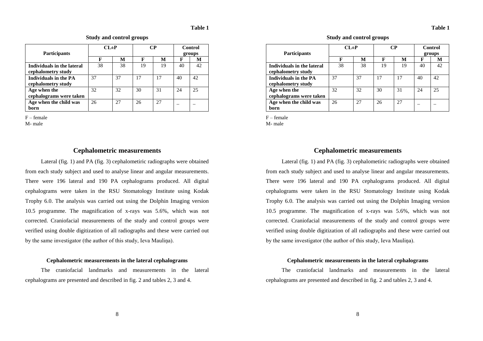|                              | $CI \pm P$ |    | CР |    | Control |        |
|------------------------------|------------|----|----|----|---------|--------|
| <b>Participants</b>          |            |    |    |    |         | groups |
|                              | F          | м  | F  | М  | F       | M      |
| Individuals in the lateral   | 38         | 38 | 19 | 19 | 40      |        |
| cephalometry study           |            |    |    |    |         |        |
| <b>Individuals in the PA</b> | 37         | 37 | 17 | 17 | 40      | 42     |
| cephalometry study           |            |    |    |    |         |        |
| Age when the                 | 32         | 32 | 30 | 31 | 24      | 25     |
| cephalograms were taken      |            |    |    |    |         |        |
| Age when the child was       | 26         | 27 | 26 | 27 |         |        |
| born                         |            |    |    |    |         |        |

**Study and control groups**

F – female

M- male

#### **Cephalometric measurements**

Lateral (fig. 1) and PA (fig. 3) cephalometiric radiographs were obtained from each study subject and used to analyse linear and angular measurements. There were 196 lateral and 190 PA cephalograms produced. All digital cephalograms were taken in the RSU Stomatology Institute using Kodak Trophy 6.0. The analysis was carried out using the Dolphin Imaging version 10.5 programme. The magnification of x-rays was 5.6%, which was not corrected. Craniofacial measurements of the study and control groups were verified using double digitization of all radiographs and these were carried out by the same investigator (the author of this study, Ieva Mauliņa).

#### **Cephalometric measurements in the lateral cephalograms**

The craniofacial landmarks and measurements in the lateral cephalograms are presented and described in fig. 2 and tables 2, 3 and 4.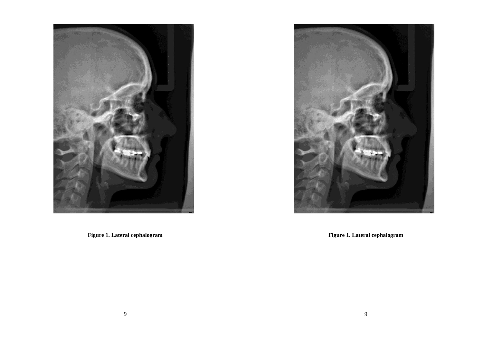

**Figure 1. Lateral cephalogram**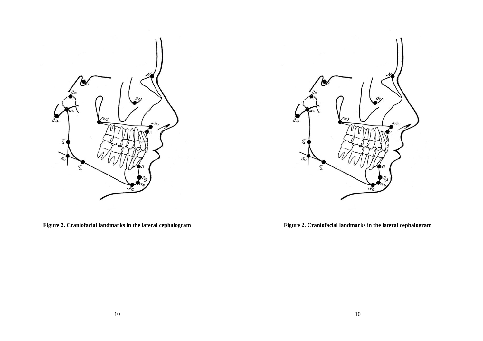

**Figure 2. Craniofacial landmarks in the lateral cephalogram**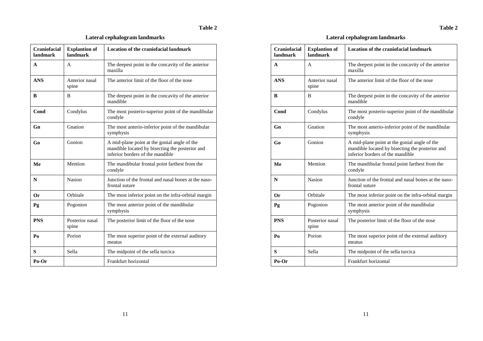# **Table 2**

| <b>Craniofacial</b><br>landmark | <b>Explantion of</b><br>landmark | <b>Location of the craniofacial landmark</b>                                                                                        |
|---------------------------------|----------------------------------|-------------------------------------------------------------------------------------------------------------------------------------|
| A                               | A                                | The deepest point in the concavity of the anterior<br>maxilla                                                                       |
| <b>ANS</b>                      | Anterior nasal<br>spine          | The anterior limit of the floor of the nose                                                                                         |
| B                               | B                                | The deepest point in the concavity of the anterior<br>mandible                                                                      |
| Cond                            | Condylus                         | The most posterio-superior point of the mandibular<br>condyle                                                                       |
| Gn                              | Gnation                          | The most anterio-inferior point of the mandibular<br>symphysis                                                                      |
| Go                              | Gonion                           | A mid-plane point at the gonial angle of the<br>mandible located by bisecting the posterior and<br>inferior borders of the mandible |
| Me                              | Mention                          | The mandibular frontal point farthest from the<br>condyle                                                                           |
| N                               | Nasion                           | Junction of the frontal and nasal bones at the naso-<br>frontal suture                                                              |
| Or                              | Orbitale                         | The most inferior point on the infra-orbital margin                                                                                 |
| Pg                              | Pogonion                         | The most anterior point of the mandibular<br>symphysis                                                                              |
| <b>PNS</b>                      | Posterior nasal<br>spine         | The posterior limit of the floor of the nose                                                                                        |
| Po                              | Porion                           | The most superior point of the external auditory<br>meatus                                                                          |
| S                               | Sella                            | The midpoint of the sella turcica                                                                                                   |
| Po-Or                           |                                  | Frankfurt horizontal                                                                                                                |

# **Lateral cephalogram landmarks**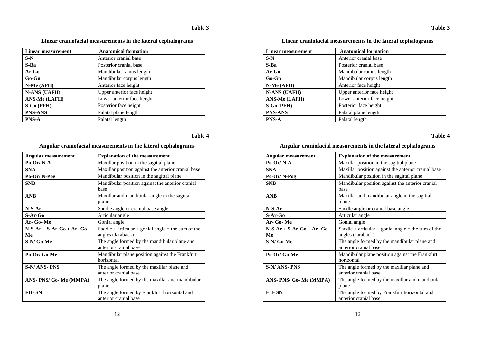| <b>Linear measurement</b> | <b>Anatomical formation</b> |
|---------------------------|-----------------------------|
| $S-N$                     | Anterior cranial base       |
| $S-Ba$                    | Posterior cranial base      |
| Ar-Go                     | Mandibular ramus length     |
| $Go-Gn$                   | Mandibular corpus length    |
| N-Me (AFH)                | Anterior face height        |
| <b>N-ANS (UAFH)</b>       | Upper anterior face height  |
| <b>ANS-Me (LAFH)</b>      | Lower anterior face height  |
| S-Go (PFH)                | Posterior face height       |
| <b>PNS-ANS</b>            | Palatal plane length        |
| <b>PNS-A</b>              | Palatal length              |

**Linear craniofacial measurements in the lateral cephalograms**

# **Table 4**

### **Angular craniofacial measurements in the lateral cephalograms**

| <b>Angular measurement</b>    | <b>Explanation of the measurement</b>                                   |
|-------------------------------|-------------------------------------------------------------------------|
| Po-Or/N-A                     | Maxillar position in the sagittal plane.                                |
| <b>SNA</b>                    | Maxillar position against the anterior cranial base                     |
| Po-Or/N-Pog                   | Mandibular position in the sagittal plane                               |
| <b>SNB</b>                    | Mandibular position against the anterior cranial<br>base                |
| <b>ANB</b>                    | Maxillar and mandibular angle in the sagittal<br>plane                  |
| $N-S-Ar$                      | Saddle angle or cranial base angle                                      |
| S-Ar-Go                       | Articular angle                                                         |
| Ar- Go-Me                     | Gonial angle                                                            |
| $N-S-Ar+S-Ar-Go+Ar-Go-$<br>Me | Saddle + articular + gonial angle = the sum of the<br>angles (Jaraback) |
| S-N/Go-Me                     | The angle formed by the mandibular plane and<br>anterior cranial base   |
| Po-Or/Go-Me                   | Mandibular plane position against the Frankfurt<br>horizontal           |
| S-N/ ANS- PNS                 | The angle formed by the maxillar plane and<br>anterior cranial base     |
| ANS-PNS/ Go-Me (MMPA)         | The angle formed by the maxillar and mandibular<br>plane                |
| FH-SN                         | The angle formed by Frankfurt horizontal and<br>anterior cranial base   |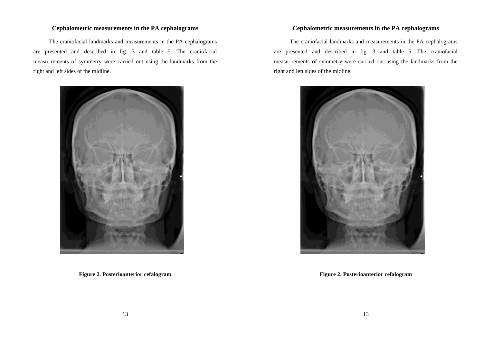#### **Cephalometric measurements in the PA cephalograms**

The craniofacial landmarks and measurements in the PA cephalograms are presented and described in fig. 3 and table 5. The craniofacial measu\_rements of symmetry were carried out using the landmarks from the right and left sides of the midline.



**Figure 2. Posterioanterior cefalogram**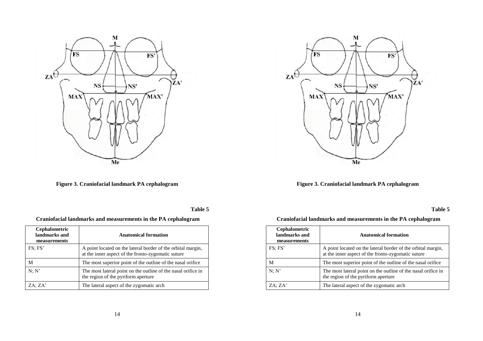

**Figure 3. Craniofacial landmark PA cephalogram**

**Table 5**

| Craniofacial landmarks and measurements in the PA cephalogram |  |
|---------------------------------------------------------------|--|
|---------------------------------------------------------------|--|

| <b>Cephalometric</b><br>landmarks and<br>measurements | <b>Anatomical formation</b>                                                                                        |
|-------------------------------------------------------|--------------------------------------------------------------------------------------------------------------------|
| FS: FS'                                               | A point located on the lateral border of the orbital margin,<br>at the inner aspect of the fronto-zygomatic suture |
| М                                                     | The most superior point of the outline of the nasal orifice                                                        |
| N: N'                                                 | The most lateral point on the outline of the nasal orifice in<br>the region of the pyriform aperture               |
| ZA: ZA'                                               | The lateral aspect of the zygomatic arch                                                                           |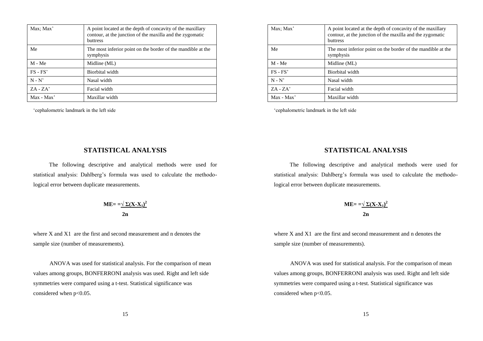| Max; Max'  | A point located at the depth of concavity of the maxillary<br>contour, at the junction of the maxilla and the zygomatic<br><b>buttress</b> |
|------------|--------------------------------------------------------------------------------------------------------------------------------------------|
| Me         | The most inferior point on the border of the mandible at the<br>symphysis                                                                  |
| $M - Me$   | Midline (ML)                                                                                                                               |
| $FS - FS'$ | Biorbital width                                                                                                                            |
| $N - N'$   | Nasal width                                                                                                                                |
| $ZA - ZA'$ | Facial width                                                                                                                               |
| Max - Max' | Maxillar width                                                                                                                             |

'cephalometric landmark in the left side

# **STATISTICAL ANALYSIS**

The following descriptive and analytical methods were used for statistical analysis: Dahlberg's formula was used to calculate the methodological error between duplicate measurements.

$$
ME = \frac{-\sqrt{\sum (X - X_1)^2}}{2n}
$$

where X and X1 are the first and second measurement and n denotes the sample size (number of measurements).

ANOVA was used for statistical analysis. For the comparison of mean values among groups, BONFERRONI analysis was used. Right and left side symmetries were compared using a t-test. Statistical significance was considered when  $p<0.05$ .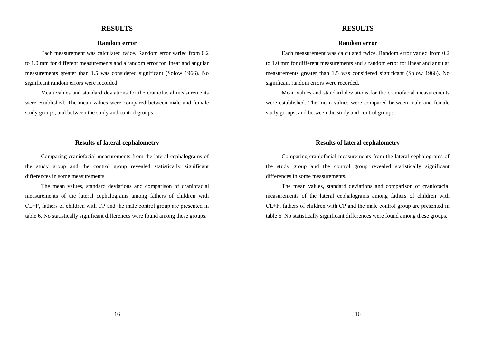#### **RESULTS**

#### **Random error**

Each measurement was calculated twice. Random error varied from 0.2 to 1.0 mm for different measurements and a random error for linear and angular measurements greater than 1.5 was considered significant (Solow 1966). No significant random errors were recorded.

Mean values and standard deviations for the craniofacial measurements were established. The mean values were compared between male and female study groups, and between the study and control groups.

#### **Results of lateral cephalometry**

Comparing craniofacial measurements from the lateral cephalograms of the study group and the control group revealed statistically significant differences in some measurements.

The mean values, standard deviations and comparison of craniofacial measurements of the lateral cephalograms among fathers of children with CL±P, fathers of children with CP and the male control group are presented in table 6. No statistically significant differences were found among these groups.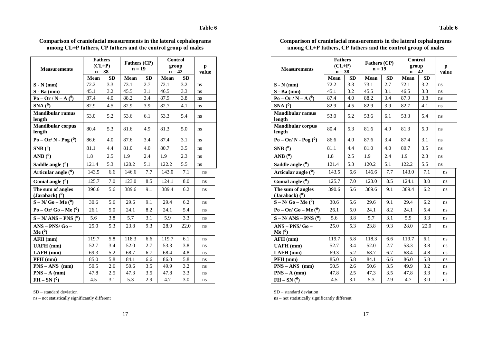| <b>Measurements</b>                   | <b>Fathers</b><br>$(CL \pm P)$<br>$n = 38$ |           | Fathers (CP)<br>$n = 19$ |           | Control<br>group<br>$\mathbf{n=42}$ |           | p<br>value |
|---------------------------------------|--------------------------------------------|-----------|--------------------------|-----------|-------------------------------------|-----------|------------|
|                                       | Mean                                       | <b>SD</b> | Mean                     | <b>SD</b> | Mean                                | <b>SD</b> |            |
| $S - N$ (mm)                          | 72.2                                       | $3.3\,$   | 73.1                     | 2.7       | 72.1                                | 3.2       | ns         |
| $S - Ba$ (mm)                         | 45.1                                       | 3.2       | 45.5                     | 3.1       | 46.5                                | 3.3       | ns         |
| $P_0 - Qr / N - A(^0)$                | 87.4                                       | 4.0       | 88.2                     | 3.4       | 87.9                                | 3.8       | ns         |
| $SNA(^0)$                             | 82.9                                       | 4.5       | 82.9                     | 3.9       | 82.7                                | 4.1       | ns         |
| <b>Mandibular ramus</b><br>length     | 53.0                                       | 5.2       | 53.6                     | 6.1       | 53.3                                | 5.4       | ns         |
| <b>Mandibular corpus</b><br>length    | 80.4                                       | 5.3       | 81.6                     | 4.9       | 81.3                                | 5.0       | ns         |
| $P_0 - Or/N - P_0g(0)$                | 86.6                                       | 4.0       | 87.6                     | 3.4       | 87.4                                | 3.1       | ns         |
| SNB(0)                                | 81.1                                       | 4.4       | 81.0                     | 4.0       | 80.7                                | 3.5       | ns         |
| ANB $(^0)$                            | 1.8                                        | 2.5       | 1.9                      | 2.4       | 1.9                                 | 2.3       | ns         |
| Saddle angle ( <sup>0</sup> )         | 121.4                                      | 5.3       | 120.2                    | 5.1       | 122.2                               | 5.5       | ns         |
| Articular angle $(0)$                 | 143.5                                      | 6.6       | 146.6                    | 7.7       | 143.0                               | 7.1       | ns         |
| Gonial angle $(0)$                    | 125.7                                      | 7.0       | 123.0                    | 8.5       | 124.1                               | 8.0       | ns         |
| The sum of angles<br>(Jaraback) $(0)$ | 390.6                                      | 5.6       | 389.6                    | 9.1       | 389.4                               | 6.2       | ns         |
| $S - N/Go - Me0$                      | 30.6                                       | 5.6       | 29.6                     | 9.1       | 29.4                                | 6.2       | ns         |
| $Po - Or/ Go - Me(0)$                 | 26.1                                       | 5.0       | 24.1                     | 8.2       | 24.1                                | 5.4       | ns         |
| $S - N/ANS - PNS0$                    | 5.6                                        | 3.8       | 5.7                      | 3.1       | 5.9                                 | 3.3       | ns         |
| $ANS - PNS/Go -$<br>Me $(0)$          | 25.0                                       | 5.3       | 23.8                     | 9.3       | 28.0                                | 22.0      | ns         |
| AFH (mm)                              | 119.7                                      | 5.8       | 118.3                    | 6.6       | 119.7                               | 6.1       | ns         |
| <b>UAFH</b> (mm)                      | 52.7                                       | 3.4       | 52.0                     | 2.7       | 53.3                                | 3.8       | ns         |
| $LAFH$ (mm)                           | 69.3                                       | 5.2       | 68.7                     | 6.7       | 68.4                                | 4.8       | ns         |
| PFH (mm)                              | 85.0                                       | 5.8       | 84.1                     | 6.6       | 86.0                                | 5.8       | ns         |
| $PNS - ANS$ (mm)                      | 50.5                                       | 2.6       | 50.6                     | 3.5       | 49.9                                | 3.2       | ns         |
| $PNS - A$ (mm)                        | 47.8                                       | 2.5       | 47.3                     | 3.5       | 47.8                                | 3.3       | ns         |
| $FH - SN(^{0})$                       | 4.5                                        | 3.1       | 5.3                      | 2.9       | 4.7                                 | 3.0       | ns         |

### **Comparison of craniofacial measurements in the lateral cephalograms among CL±P fathers, CP fathers and the control group of males**

SD – standard deviation

ns – not statistically significantly different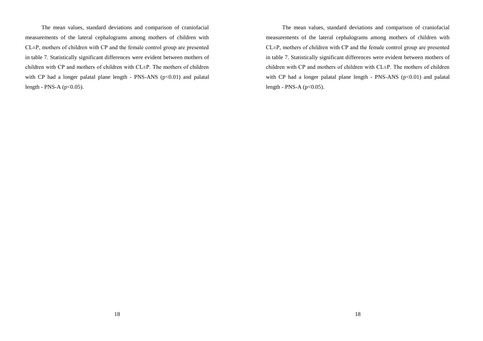The mean values, standard deviations and comparison of craniofacial measurements of the lateral cephalograms among mothers of children with CL±P, mothers of children with CP and the female control group are presented in table 7. Statistically significant differences were evident between mothers of children with CP and mothers of children with CL±P. The mothers of children with CP had a longer palatal plane length - PNS-ANS  $(p<0.01)$  and palatal length - PNS-A ( $p<0.05$ ).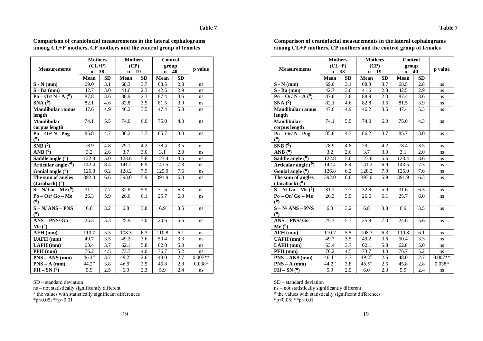| <b>Measurements</b>               | <b>Mothers</b><br>$(CL \pm P)$ |                  | <b>Mothers</b><br>(CP) |     | Control<br>group |           | p value   |
|-----------------------------------|--------------------------------|------------------|------------------------|-----|------------------|-----------|-----------|
|                                   | $n = 38$                       |                  | $n = 19$               |     | $n = 40$         |           |           |
|                                   | Mean                           | SD               | Mean                   | SD  | Mean             | <b>SD</b> |           |
| $S - N$ (mm)                      | 69.0                           | 3.1              | 68.3                   | 3.7 | 68.5             | 2.8       | ns.       |
| $S - Ba$ (mm)                     | 42.7                           | 3.0              | 41.6                   | 2.3 | 42.5             | 2.9       | ns        |
| $Po - Or/N - A(0)$                | 87.8                           | 3.6              | 88.9                   | 2.3 | 87.4             | 3.6       | ns        |
| $SNA(\overline{0})$               | 82.1                           | 4.6              | 82.8                   | 3.5 | 81.5             | 3.9       | $\rm ns$  |
| <b>Mandibular ramus</b>           | 47.6                           | 4.9              | 46.2                   | 3.5 | 47.4             | 5.3       | ns        |
| length                            |                                |                  |                        |     |                  |           |           |
| <b>Mandibular</b>                 | 74.1                           | 5.5              | 74.0                   | 6.0 | 75.0             | 4.3       | ns.       |
| corpus length                     |                                |                  |                        |     |                  |           |           |
| $Po - Or/N - Pog$<br>(0)          | 85.8                           | 4.7              | 86.2                   | 3.7 | 85.7             | 3.0       | ns        |
| SNB(0)                            | 78.9                           | 4.8              | 79.1                   | 4.2 | 78.4             | 3.5       | ns        |
| $\overline{\text{ANB} (^0)}$      | 3.2                            | 2.6              | 3.7                    | 3.0 | 3.1              | 2.0       | ns        |
| Saddle angle $(0)$                | 122.8                          | 5.0              | 123.6                  | 5.6 | 123.4            | 3.6       | ns        |
| Articular angle $\overline{(^0)}$ | 142.4                          | 8.4              | 141.2                  | 6.9 | 143.5            | 7.3       | ns        |
| Gonial angle $\overline{(^{0})}$  | 126.8                          | 6.2              | 128.2                  | 7.9 | 125.0            | 7.6       | ns        |
| The sum of angles                 | 392.0                          | 6.6              | 393.0                  | 5.9 | 391.9            | 6.3       | ns        |
| (Jaraback) $(0)$                  |                                |                  |                        |     |                  |           |           |
| $S - N/Go - Me\overline{O}$       | 31.2                           | 7.7              | 32.8                   | 5.9 | 31.6             | 6.3       | ns        |
| $Po - Or/Go - Me$                 | 26.3                           | 5.9              | 26.6                   | 6.1 | 25.7             | 6.0       | ns        |
| (0)                               |                                |                  |                        |     |                  |           |           |
| $S - N/ANS - PNS$                 | 6.8                            | 3.2              | 6.8                    | 3.8 | 6.9              | 3.5       | ns        |
| (0)                               |                                |                  |                        |     |                  |           |           |
| $ANS - PNS/G0 -$                  | 25.3                           | 5.3              | 25.9                   | 7.0 | 24.6             | 5.6       | ns        |
| Me $(0)$                          |                                |                  |                        |     |                  |           |           |
| AFH (mm)                          | 110.7                          | $\overline{5.5}$ | 108.3                  | 6.3 | 110.8            | 6.1       | ns        |
| <b>UAFH</b> (mm)                  | 49.7                           | 3.5              | 49.2                   | 3.6 | 50.4             | 3.3       | ns        |
| $LAFH$ (mm)                       | 63.4                           | 3.7              | 62.1                   | 5.8 | 62.8             | 5.0       | ns        |
| PFH (mm)                          | 76.2                           | 4.5              | 73.7                   | 4.0 | 76.7             | 5.2       | ns        |
| $PNS - ANS$ (mm)                  | 46.4"                          | 3.7              | 49.2"                  | 2.6 | 48.0             | 2.7       | $0.007**$ |
| $PNS - A$ (mm)                    | 44.2"                          | 3.8              | 46.5"                  | 2.5 | 45.8             | 2.8       | $0.038*$  |
| $FH - SN(^{0})$                   | $\overline{5.9}$               | $\overline{2.5}$ | 6.0                    | 2.3 | 5.9              | 2.4       | ns        |

**Comparison of craniofacial measurements in the lateral cephalograms among CL±P mothers, CP mothers and the control group of females**

SD – standard deviation

ns – not statistically significantly different

″ the values with statistically significant differences

 $*p<0.05$ ;  $*p<0.01$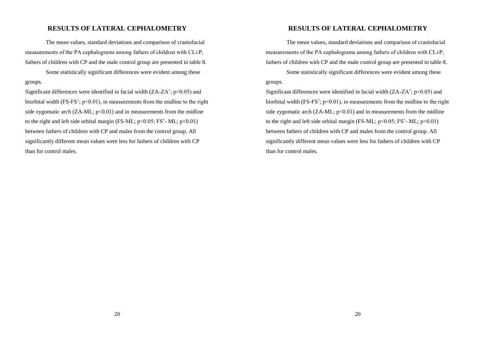## **RESULTS OF LATERAL CEPHALOMETRY**

The mean values, standard deviations and comparison of craniofacial measurements of the PA cephalograms among fathers of children with CL±P, fathers of children with CP and the male control group are presented in table 8.

Some statistically significant differences were evident among these groups.

Significant differences were identified in facial width  $(ZA-ZA' : p<0.05)$  and biorbital width (FS-FS':  $p \le 0.01$ ), in measurements from the midline to the right side zygomatic arch  $(ZA-ML; p<0.01)$  and in measurements from the midline to the right and left side orbital margin (FS-ML;  $p<0.05$ ; FS'-ML;  $p<0.01$ ) between fathers of children with CP and males from the control group. All significantly different mean values were less for fathers of children with CP than for control males.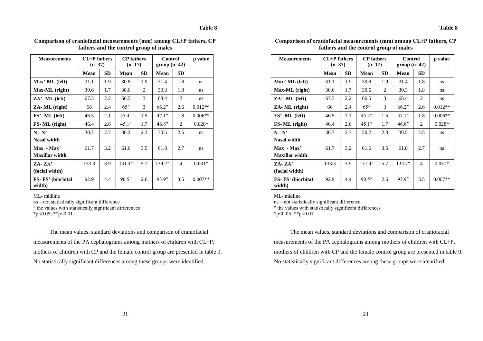| <b>Measurements</b>         | $CL \pm P$ fathers<br>$(n=37)$ |           | <b>CP</b> fathers<br>$(n=17)$ |           | <b>Control</b><br>$group(n=42)$ |           | p value   |
|-----------------------------|--------------------------------|-----------|-------------------------------|-----------|---------------------------------|-----------|-----------|
|                             | Mean                           | <b>SD</b> | Mean                          | <b>SD</b> | Mean                            | <b>SD</b> |           |
| Max'-ML (left)              | 31.1                           | 1.9       | 30.8                          | 1.9       | 31.4                            | 1.8       | ns        |
| Max-ML (right)              | 30.6                           | 1.7       | 30.6                          | 2         | 30.3                            | 1.8       | ns        |
| $ZA'$ - ML (left)           | 67.3                           | 2.2       | 66.5                          | 3         | 68.4                            | 2         | ns        |
| ZA-ML (right)               | 66                             | 2.4       | 65"                           | 3         | 66.2"                           | 2.6       | $0.012**$ |
| $FS'$ - ML (left)           | 46.5                           | 2.1       | 45.4"                         | 1.5       | 47.1"                           | 1.8       | $0.006**$ |
| FS-ML (right)               | 46.4                           | 2.6       | 45.1"                         | 1.7       | 46.8"                           | 2         | $0.028*$  |
| $N - N'$                    | 30.7                           | 2.7       | 30.2                          | 2.3       | 30.5                            | 2.5       | ns        |
| Nasal width                 |                                |           |                               |           |                                 |           |           |
| $Max - Max'$                | 61.7                           | 3.2       | 61.6                          | 3.5       | 61.8                            | 2.7       | ns        |
| <b>Maxillar</b> width       |                                |           |                               |           |                                 |           |           |
| $ZA - ZA'$                  | 133.3                          | 3.9       | 131.4"                        | 5.7       | 134.7"                          | 4         | $0.031*$  |
| (facial width)              |                                |           |                               |           |                                 |           |           |
| FS-FS' (biorbital<br>width) | 92.9                           | 4.4       | 90.5''                        | 2.6       | 93.9"                           | 3.5       | $0.007**$ |

**Comparison of craniofacial measurements (mm) among CL±P fathers, CP fathers and the control group of males**

ML- midline

ns – not statistically significant difference ″ the values with statistically significant differences

 $*p<0.05$ ;  $*p<0.01$ 

The mean values, standard deviations and comparison of craniofacial measurements of the PA cephalograms among mothers of children with CL±P, mothers of children with CP and the female control group are presented in table 9. No statistically significant differences among these groups were identified.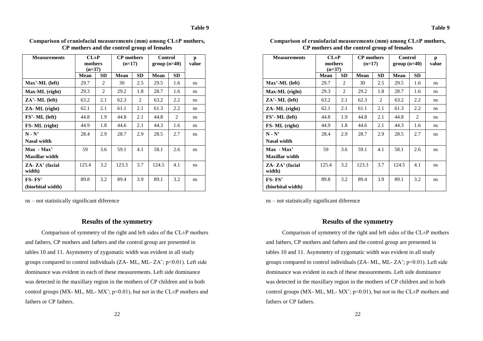**Table 9**

| <b>Measurements</b>       | $CL \pm P$<br>mothers<br>$(n=37)$ |           | <b>CP</b> mothers<br>$(n=17)$ |           | <b>Control</b><br>$group(n=40)$ |           | p<br>value |
|---------------------------|-----------------------------------|-----------|-------------------------------|-----------|---------------------------------|-----------|------------|
|                           | Mean                              | <b>SD</b> | Mean                          | <b>SD</b> | Mean                            | <b>SD</b> |            |
| Max'-ML (left)            | 29.7                              | 2         | 30                            | 2.5       | 29.5                            | 1.6       | ns         |
| Max-ML (right)            | 29.3                              | 2         | 29.2                          | 1.8       | 28.7                            | 1.6       | ns         |
| $ZA'$ - ML (left)         | 63.2                              | 2.1       | 62.3                          | 2         | 63.2                            | 2.2       | ns         |
| ZA-ML (right)             | 62.1                              | 2.1       | 61.1                          | 2.1       | 61.3                            | 2.2       | ns         |
| FS'- ML (left)            | 44.8                              | 1.9       | 44.8                          | 2.1       | 44.8                            | 2         | ns         |
| FS-ML (right)             | 44.9                              | 1.8       | 44.6                          | 2.1       | 44.3                            | 1.6       | ns         |
| $N - N'$                  | 28.4                              | 2.9       | 28.7                          | 2.9       | 28.5                            | 2.7       | ns         |
| Nasal width               |                                   |           |                               |           |                                 |           |            |
| $Max - Max'$              | 59                                | 3.6       | 59.1                          | 4.1       | 58.1                            | 2.6       | ns         |
| <b>Maxillar</b> width     |                                   |           |                               |           |                                 |           |            |
| ZA- ZA' (facial<br>width) | 125.4                             | 3.2       | 123.3                         | 3.7       | 124.5                           | 4.1       | ns         |
| $FS-FS'$                  | 89.8                              | 3.2       | 89.4                          | 3.9       | 89.1                            | 3.2       | ns         |
| (biorbital width)         |                                   |           |                               |           |                                 |           |            |

**Comparison of craniofacial measurements (mm) among CL±P mothers, CP mothers and the control group of females**

ns – not statistically significant diference

#### **Results of the symmetry**

Comparison of symmetry of the right and left sides of the CL±P mothers and fathers, CP mothers and fathers and the control group are presented in tables 10 and 11. Asymmetry of zygomatic width was evident in all study groups compared to control individuals (ZA- ML, ML- ZA'; p<0.01). Left side dominance was evident in each of these measurements. Left side dominance was detected in the maxillary region in the mothers of CP children and in both control groups (MX- ML, ML- MX';  $p<0.01$ ), but not in the CL $\pm P$  mothers and fathers or CP fathers.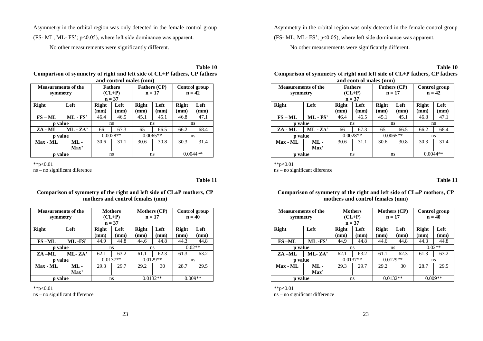Asymmetry in the orbital region was only detected in the female control group (FS- ML, ML- FS';  $p<0.05$ ), where left side dominance was apparent.

No other measurements were significantly different.

**Table 10 Comparison of symmetry of right and left side of CL±P fathers, CP fathers and control males (mm)**

|                            |              |                      | <u>ana contron manos (mmo</u> |                     |      |               |                 |
|----------------------------|--------------|----------------------|-------------------------------|---------------------|------|---------------|-----------------|
| <b>Measurements of the</b> |              | <b>Fathers</b>       |                               | <b>Fathers (CP)</b> |      | Control group |                 |
| symmetry                   |              | $(CL \pm P)$         |                               | $n = 17$            |      | $n = 42$      |                 |
|                            |              |                      | $n = 37$                      |                     |      |               |                 |
| <b>Right</b>               | Left         | <b>Right</b><br>Left |                               | <b>Right</b>        | Left | <b>Right</b>  | Left            |
|                            |              | (mm)                 | $(\mathbf{mm})$               | $(\mathbf{mm})$     | (mm) | (mm)          | $(\mathbf{mm})$ |
| $FS - ML$                  | $ML$ - $FS'$ | 46.4                 | 46.5                          | 45.1                | 45.1 | 46.8          | 47.1            |
| <b>p</b> value             |              |                      | ns                            |                     | ns   | ns            |                 |
| ZA - ML                    | $ML - ZA'$   | 66                   | 67.3                          | 65                  | 66.5 | 66.2          | 68.4            |
| p value                    |              |                      | $0.0028**$                    | $0.0065**$          |      | ns            |                 |
| Max - ML                   | $ML -$       | 30.6                 | 31.1                          | 30.6                | 30.8 | 30.3          | 31.4            |
|                            | Max'         |                      |                               |                     |      |               |                 |
|                            | value        |                      | ns                            |                     | ns   |               | $0.0044**$      |

\*\*p<0.01

ns – no significant diference

**Table 11**

#### **Comparison of symmetry of the right and left side of CL±P mothers, CP mothers and control females (mm)**

| <b>Measurements of the</b><br>symmetry |              | <b>Mothers</b><br>$(CL \pm P)$<br>$n = 37$ |              | <b>Mothers (CP)</b><br>$n = 17$ |                         | Control group<br>$n = 40$ |              |
|----------------------------------------|--------------|--------------------------------------------|--------------|---------------------------------|-------------------------|---------------------------|--------------|
| <b>Right</b>                           | Left         | <b>Right</b><br>(mm)                       | Left<br>(mm) | <b>Right</b><br>(mm)            | Left<br>$(\mathbf{mm})$ | <b>Right</b><br>(mm)      | Left<br>(mm) |
| $FS-ML$                                | ML-FS'       | 44.9                                       | 44.8         | 44.6                            | 44.8                    | 44.3                      | 44.8         |
| p value                                |              | ns                                         |              | ns                              |                         | $0.02**$                  |              |
| ZA –ML                                 | $ML$ - $ZA'$ | 62.1                                       | 63.2         | 61.1                            | 62.3                    | 61.3                      | 63.2         |
| p value                                |              | $0.0137**$                                 |              | $0.0129**$                      |                         | ns                        |              |
| Max - ML                               | $ML -$       | 29.3                                       | 29.7         | 29.2                            | 30                      | 28.7                      | 29.5         |
|                                        | Max'         |                                            |              |                                 |                         |                           |              |
| <b>p</b> value                         |              | ns                                         |              | $0.0132**$                      |                         | $0.009**$                 |              |

\*\*p<0.01

ns – no significant difference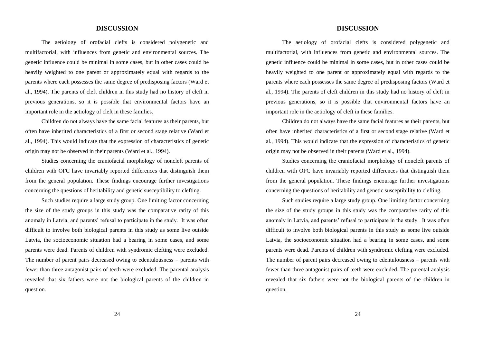### **DISCUSSION**

The aetiology of orofacial clefts is considered polygenetic and multifactorial, with influences from genetic and environmental sources. The genetic influence could be minimal in some cases, but in other cases could be heavily weighted to one parent or approximately equal with regards to the parents where each possesses the same degree of predisposing factors (Ward et al., 1994). The parents of cleft children in this study had no history of cleft in previous generations, so it is possible that environmental factors have an important role in the aetiology of cleft in these families.

Children do not always have the same facial features as their parents, but often have inherited characteristics of a first or second stage relative (Ward et al., 1994). This would indicate that the expression of characteristics of genetic origin may not be observed in their parents (Ward et al., 1994).

Studies concerning the craniofacial morphology of noncleft parents of children with OFC have invariably reported differences that distinguish them from the general population. These findings encourage further investigations concerning the questions of heritability and genetic susceptibility to clefting.

Such studies require a large study group. One limiting factor concerning the size of the study groups in this study was the comparative rarity of this anomaly in Latvia, and parents' refusal to participate in the study. It was often difficult to involve both biological parents in this study as some live outside Latvia, the socioeconomic situation had a bearing in some cases, and some parents were dead. Parents of children with syndromic clefting were excluded. The number of parent pairs decreased owing to edentulousness – parents with fewer than three antagonist pairs of teeth were excluded. The parental analysis revealed that six fathers were not the biological parents of the children in question.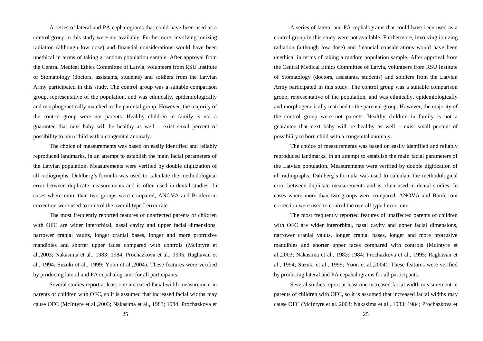A series of lateral and PA cephalograms that could have been used as a control group in this study were not available. Furthermore, involving ionizing radiation (although low dose) and financial considerations would have been unethical in terms of taking a random population sample. After approval from the Central Medical Ethics Committee of Latvia, volunteers from RSU Institute of Stomatology (doctors, assistants, students) and soldiers from the Latvian Army participated in this study. The control group was a suitable comparison group, representative of the population, and was ethnically, epidemiologically and morphogenetically matched to the parental group. However, the majority of the control group were not parents. Healthy children in family is not a guarantee that next baby will be healthy as well – exist small percent of possibility to born child with a congenital anomaly.

The choice of measurements was based on easily identified and reliably reproduced landmarks, in an attempt to establish the main facial parameters of the Latvian population. Measurements were verified by double digitization of all radiographs. Dahlberg's formula was used to calculate the methodological error between duplicate measurements and is often used in dental studies. In cases where more than two groups were compared, ANOVA and Bonferroni correction were used to control the overall type I error rate.

The most frequently reported features of unaffected parents of children with OFC are wider interorbital, nasal cavity and upper facial dimensions, narrower cranial vaults, longer cranial bases, longer and more protrusive mandibles and shorter upper faces compared with controls (McIntyre et al.,2003; Nakasima et al., 1983; 1984; Prochazkova et al., 1995; Raghavan et al., 1994; Suzuki et al., 1999; Yoon et al.,2004). These features were verified by producing lateral and PA cepahalograms for all participants.

Several studies report at least one increased facial width measurement in parents of children with OFC, so it is assumed that increased facial widths may cause OFC (McIntyre et al.,2003; Nakasima et al., 1983; 1984; Prochazkova et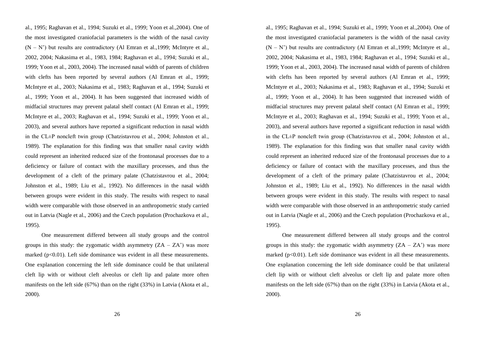al., 1995; Raghavan et al., 1994; Suzuki et al., 1999; Yoon et al.,2004). One of the most investigated craniofacial parameters is the width of the nasal cavity  $(N - N')$  but results are contradictory (Al Emran et al., 1999; McIntyre et al., 2002, 2004; Nakasima et al., 1983, 1984; Raghavan et al., 1994; Suzuki et al., 1999; Yoon et al., 2003, 2004). The increased nasal width of parents of children with clefts has been reported by several authors (Al Emran et al., 1999; McIntyre et al., 2003; Nakasima et al., 1983; Raghavan et al., 1994; Suzuki et al., 1999; Yoon et al., 2004). It has been suggested that increased width of midfacial structures may prevent palatal shelf contact (Al Emran et al., 1999; McIntyre et al., 2003; Raghavan et al., 1994; Suzuki et al., 1999; Yoon et al., 2003), and several authors have reported a significant reduction in nasal width in the CL±P noncleft twin group (Chatzistavrou et al., 2004; Johnston et al., 1989). The explanation for this finding was that smaller nasal cavity width could represent an inherited reduced size of the frontonasal processes due to a deficiency or failure of contact with the maxillary processes, and thus the development of a cleft of the primary palate (Chatzistavrou et al., 2004; Johnston et al., 1989; Liu et al., 1992). No differences in the nasal width between groups were evident in this study. The results with respect to nasal width were comparable with those observed in an anthropometric study carried out in Latvia (Nagle et al., 2006) and the Czech population (Prochazkova et al., 1995).

One measurement differed between all study groups and the control groups in this study: the zygomatic width asymmetry  $(ZA - ZA)$  was more marked  $(p<0.01)$ . Left side dominance was evident in all these measurements. One explanation concerning the left side dominance could be that unilateral cleft lip with or without cleft alveolus or cleft lip and palate more often manifests on the left side (67%) than on the right (33%) in Latvia (Akota et al., 2000).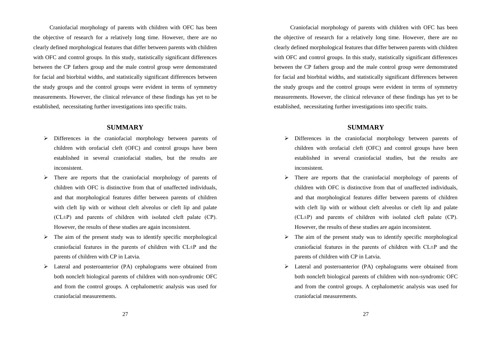Craniofacial morphology of parents with children with OFC has been the objective of research for a relatively long time. However, there are no clearly defined morphological features that differ between parents with children with OFC and control groups. In this study, statistically significant differences between the CP fathers group and the male control group were demonstrated for facial and biorbital widths, and statistically significant differences between the study groups and the control groups were evident in terms of symmetry measurements. However, the clinical relevance of these findings has yet to be established, necessitating further investigations into specific traits.

#### **SUMMARY**

- $\triangleright$  Differences in the craniofacial morphology between parents of children with orofacial cleft (OFC) and control groups have been established in several craniofacial studies, but the results are inconsistent.
- $\triangleright$  There are reports that the craniofacial morphology of parents of children with OFC is distinctive from that of unaffected individuals, and that morphological features differ between parents of children with cleft lip with or without cleft alveolus or cleft lip and palate (CL±P) and parents of children with isolated cleft palate (CP). However, the results of these studies are again inconsistent.
- $\triangleright$  The aim of the present study was to identify specific morphological craniofacial features in the parents of children with CL±P and the parents of children with CP in Latvia.
- Lateral and posteroanterior (PA) cephalograms were obtained from both noncleft biological parents of children with non-syndromic OFC and from the control groups. A cephalometric analysis was used for craniofacial measurements.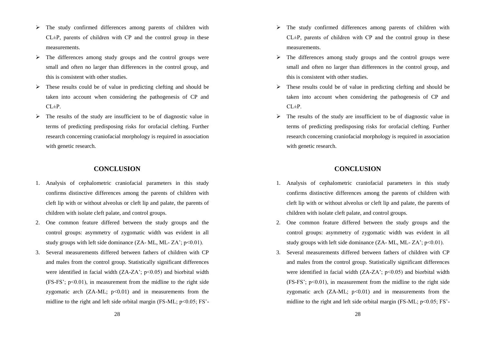- $\triangleright$  The study confirmed differences among parents of children with  $CL<sup>+</sup>P$ , parents of children with CP and the control group in these measurements.
- $\triangleright$  The differences among study groups and the control groups were small and often no larger than differences in the control group, and this is consistent with other studies.
- $\triangleright$  These results could be of value in predicting clefting and should be taken into account when considering the pathogenesis of CP and  $CI \pm P$
- $\triangleright$  The results of the study are insufficient to be of diagnostic value in terms of predicting predisposing risks for orofacial clefting. Further research concerning craniofacial morphology is required in association with genetic research.

#### **CONCLUSION**

- 1. Analysis of cephalometric craniofacial parameters in this study confirms distinctive differences among the parents of children with cleft lip with or without alveolus or cleft lip and palate, the parents of children with isolate cleft palate, and control groups.
- 2. One common feature differed between the study groups and the control groups: asymmetry of zygomatic width was evident in all study groups with left side dominance  $(ZA-ML, ML-ZA^*; p<0.01)$ .
- 3. Several measurements differed between fathers of children with CP and males from the control group. Statistically significant differences were identified in facial width  $(ZA-ZA'; p<0.05)$  and biorbital width  $(FS-FS')$ :  $p<0.01$ ), in measurement from the midline to the right side zygomatic arch  $(ZA-ML; p<0.01)$  and in measurements from the midline to the right and left side orbital margin  $(FS-ML; p<0.05; FS'-$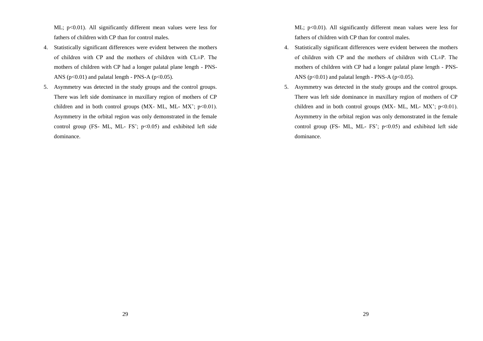ML;  $p<0.01$ ). All significantly different mean values were less for fathers of children with CP than for control males.

- 4. Statistically significant differences were evident between the mothers of children with CP and the mothers of children with  $CI \pm P$ . The mothers of children with CP had a longer palatal plane length - PNS-ANS ( $p<0.01$ ) and palatal length - PNS-A ( $p<0.05$ ).
- 5. Asymmetry was detected in the study groups and the control groups. There was left side dominance in maxillary region of mothers of CP children and in both control groups (MX- ML, ML- MX';  $p<0.01$ ). Asymmetry in the orbital region was only demonstrated in the female control group (FS- ML, ML- FS';  $p<0.05$ ) and exhibited left side dominance.